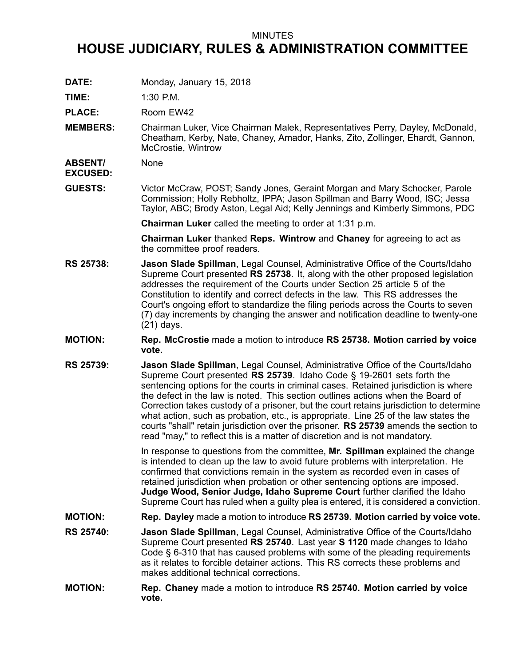## MINUTES

## **HOUSE JUDICIARY, RULES & ADMINISTRATION COMMITTEE**

**DATE:** Monday, January 15, 2018

**TIME:** 1:30 P.M.

PLACE: Room EW42

**MEMBERS:** Chairman Luker, Vice Chairman Malek, Representatives Perry, Dayley, McDonald, Cheatham, Kerby, Nate, Chaney, Amador, Hanks, Zito, Zollinger, Ehardt, Gannon, McCrostie, Wintrow

**ABSENT/ EXCUSED:** None

**GUESTS:** Victor McCraw, POST; Sandy Jones, Geraint Morgan and Mary Schocker, Parole Commission; Holly Rebholtz, IPPA; Jason Spillman and Barry Wood, ISC; Jessa Taylor, ABC; Brody Aston, Legal Aid; Kelly Jennings and Kimberly Simmons, PDC

**Chairman Luker** called the meeting to order at 1:31 p.m.

**Chairman Luker** thanked **Reps. Wintrow** and **Chaney** for agreeing to act as the committee proof readers.

- **RS 25738: Jason Slade Spillman**, Legal Counsel, Administrative Office of the Courts/Idaho Supreme Court presented **RS 25738**. It, along with the other proposed legislation addresses the requirement of the Courts under Section 25 article 5 of the Constitution to identify and correct defects in the law. This RS addresses the Court's ongoing effort to standardize the filing periods across the Courts to seven (7) day increments by changing the answer and notification deadline to twenty-one (21) days.
- **MOTION: Rep. McCrostie** made <sup>a</sup> motion to introduce **RS 25738. Motion carried by voice vote.**
- **RS 25739: Jason Slade Spillman**, Legal Counsel, Administrative Office of the Courts/Idaho Supreme Court presented **RS 25739**. Idaho Code § 19-2601 sets forth the sentencing options for the courts in criminal cases. Retained jurisdiction is where the defect in the law is noted. This section outlines actions when the Board of Correction takes custody of <sup>a</sup> prisoner, but the court retains jurisdiction to determine what action, such as probation, etc., is appropriate. Line 25 of the law states the courts "shall" retain jurisdiction over the prisoner. **RS 25739** amends the section to read "may," to reflect this is <sup>a</sup> matter of discretion and is not mandatory.

In response to questions from the committee, **Mr. Spillman** explained the change is intended to clean up the law to avoid future problems with interpretation. He confirmed that convictions remain in the system as recorded even in cases of retained jurisdiction when probation or other sentencing options are imposed. **Judge Wood, Senior Judge, Idaho Supreme Court** further clarified the Idaho Supreme Court has ruled when <sup>a</sup> guilty plea is entered, it is considered <sup>a</sup> conviction.

- **MOTION: Rep. Dayley** made <sup>a</sup> motion to introduce **RS 25739. Motion carried by voice vote.**
- **RS 25740: Jason Slade Spillman**, Legal Counsel, Administrative Office of the Courts/Idaho Supreme Court presented **RS 25740**. Last year **S 1120** made changes to Idaho Code § 6-310 that has caused problems with some of the pleading requirements as it relates to forcible detainer actions. This RS corrects these problems and makes additional technical corrections.
- **MOTION: Rep. Chaney** made <sup>a</sup> motion to introduce **RS 25740. Motion carried by voice vote.**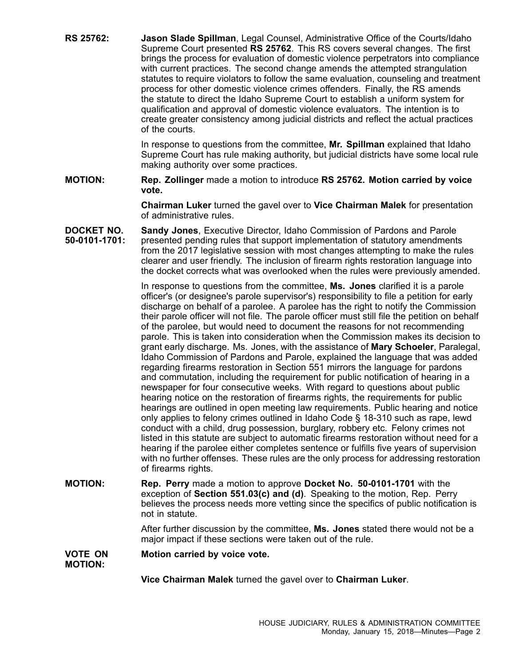**RS 25762: Jason Slade Spillman**, Legal Counsel, Administrative Office of the Courts/Idaho Supreme Court presented **RS 25762**. This RS covers several changes. The first brings the process for evaluation of domestic violence perpetrators into compliance with current practices. The second change amends the attempted strangulation statutes to require violators to follow the same evaluation, counseling and treatment process for other domestic violence crimes offenders. Finally, the RS amends the statute to direct the Idaho Supreme Court to establish <sup>a</sup> uniform system for qualification and approval of domestic violence evaluators. The intention is to create greater consistency among judicial districts and reflect the actual practices of the courts.

> In response to questions from the committee, **Mr. Spillman** explained that Idaho Supreme Court has rule making authority, but judicial districts have some local rule making authority over some practices.

**MOTION: Rep. Zollinger** made <sup>a</sup> motion to introduce **RS 25762. Motion carried by voice vote.**

> **Chairman Luker** turned the gavel over to **Vice Chairman Malek** for presentation of administrative rules.

**DOCKET NO. 50-0101-1701: Sandy Jones**, Executive Director, Idaho Commission of Pardons and Parole presented pending rules that support implementation of statutory amendments from the 2017 legislative session with most changes attempting to make the rules clearer and user friendly. The inclusion of firearm rights restoration language into the docket corrects what was overlooked when the rules were previously amended.

> In response to questions from the committee, **Ms. Jones** clarified it is <sup>a</sup> parole officer's (or designee's parole supervisor's) responsibility to file <sup>a</sup> petition for early discharge on behalf of <sup>a</sup> parolee. A parolee has the right to notify the Commission their parole officer will not file. The parole officer must still file the petition on behalf of the parolee, but would need to document the reasons for not recommending parole. This is taken into consideration when the Commission makes its decision to grant early discharge. Ms. Jones, with the assistance of **Mary Schoeler**, Paralegal, Idaho Commission of Pardons and Parole, explained the language that was added regarding firearms restoration in Section 551 mirrors the language for pardons and commutation, including the requirement for public notification of hearing in <sup>a</sup> newspaper for four consecutive weeks. With regard to questions about public hearing notice on the restoration of firearms rights, the requirements for public hearings are outlined in open meeting law requirements. Public hearing and notice only applies to felony crimes outlined in Idaho Code § 18-310 such as rape, lewd conduct with <sup>a</sup> child, drug possession, burglary, robbery etc. Felony crimes not listed in this statute are subject to automatic firearms restoration without need for <sup>a</sup> hearing if the parolee either completes sentence or fulfills five years of supervision with no further offenses. These rules are the only process for addressing restoration of firearms rights.

**MOTION: Rep. Perry** made <sup>a</sup> motion to approve **Docket No. 50-0101-1701** with the exception of **Section 551.03(c) and (d)**. Speaking to the motion, Rep. Perry believes the process needs more vetting since the specifics of public notification is not in statute.

> After further discussion by the committee, **Ms. Jones** stated there would not be <sup>a</sup> major impact if these sections were taken out of the rule.

**VOTE ON MOTION: Motion carried by voice vote.**

**Vice Chairman Malek** turned the gavel over to **Chairman Luker**.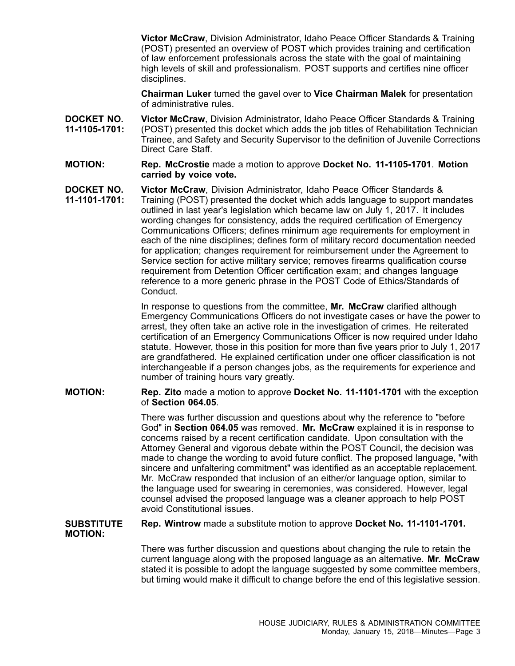**Victor McCraw**, Division Administrator, Idaho Peace Officer Standards & Training (POST) presented an overview of POST which provides training and certification of law enforcement professionals across the state with the goal of maintaining high levels of skill and professionalism. POST supports and certifies nine officer disciplines.

**Chairman Luker** turned the gavel over to **Vice Chairman Malek** for presentation of administrative rules.

- **DOCKET NO. 11-1105-1701: Victor McCraw**, Division Administrator, Idaho Peace Officer Standards & Training (POST) presented this docket which adds the job titles of Rehabilitation Technician Trainee, and Safety and Security Supervisor to the definition of Juvenile Corrections Direct Care Staff.
- **MOTION: Rep. McCrostie** made <sup>a</sup> motion to approve **Docket No. 11-1105-1701**. **Motion carried by voice vote.**
- **DOCKET NO. 11-1101-1701: Victor McCraw**, Division Administrator, Idaho Peace Officer Standards & Training (POST) presented the docket which adds language to support mandates outlined in last year's legislation which became law on July 1, 2017. It includes wording changes for consistency, adds the required certification of Emergency Communications Officers; defines minimum age requirements for employment in each of the nine disciplines; defines form of military record documentation needed for application; changes requirement for reimbursement under the Agreement to Service section for active military service; removes firearms qualification course requirement from Detention Officer certification exam; and changes language reference to <sup>a</sup> more generic phrase in the POST Code of Ethics/Standards of Conduct.

In response to questions from the committee, **Mr. McCraw** clarified although Emergency Communications Officers do not investigate cases or have the power to arrest, they often take an active role in the investigation of crimes. He reiterated certification of an Emergency Communications Officer is now required under Idaho statute. However, those in this position for more than five years prior to July 1, 2017 are grandfathered. He explained certification under one officer classification is not interchangeable if <sup>a</sup> person changes jobs, as the requirements for experience and number of training hours vary greatly.

**MOTION: Rep. Zito** made <sup>a</sup> motion to approve **Docket No. 11-1101-1701** with the exception of **Section 064.05**.

> There was further discussion and questions about why the reference to "before God" in **Section 064.05** was removed. **Mr. McCraw** explained it is in response to concerns raised by <sup>a</sup> recent certification candidate. Upon consultation with the Attorney General and vigorous debate within the POST Council, the decision was made to change the wording to avoid future conflict. The proposed language, "with sincere and unfaltering commitment" was identified as an acceptable replacement. Mr. McCraw responded that inclusion of an either/or language option, similar to the language used for swearing in ceremonies, was considered. However, legal counsel advised the proposed language was <sup>a</sup> cleaner approach to help POST avoid Constitutional issues.

## **SUBSTITUTE MOTION: Rep. Wintrow** made <sup>a</sup> substitute motion to approve **Docket No. 11-1101-1701.**

There was further discussion and questions about changing the rule to retain the current language along with the proposed language as an alternative. **Mr. McCraw** stated it is possible to adopt the language suggested by some committee members, but timing would make it difficult to change before the end of this legislative session.